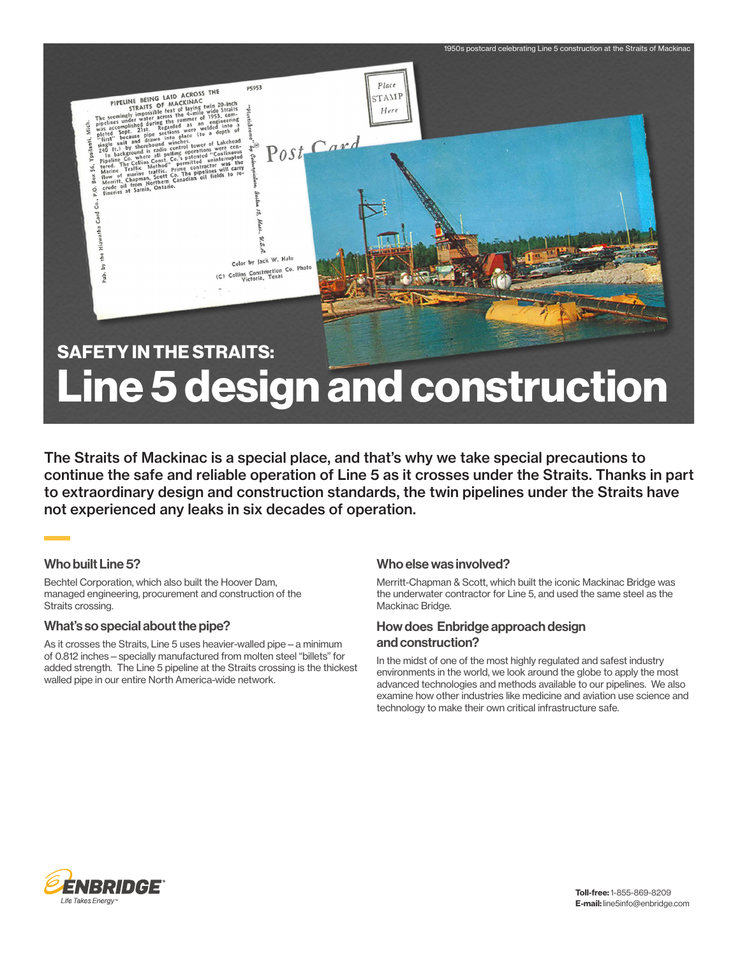

# SAFETY IN THE STRAITS:<br>Line 5 design and construction

The Straits of Mackinac is a special place, and that's why we take special precautions to continue the safe and reliable operation of Line 5 as it crosses under the Straits. Thanks in part to extraordinary design and construction standards, the twin pipelines under the Straits have not experienced any leaks in six decades of operation.

# Who built Line 5?

Bechtel Corporation, which also built the Hoover Dam, managed engineering, procurement and construction of the Straits crossing.

# What's so special about the pipe?

As it crosses the Straits, Line 5 uses heavier-walled pipe—a minimum of 0.812 inches—specially manufactured from molten steel "billets" for added strength. The Line 5 pipeline at the Straits crossing is the thickest walled pipe in our entire North America-wide network.

# Who else was involved?

Merritt-Chapman & Scott, which built the iconic Mackinac Bridge was the underwater contractor for Line 5, and used the same steel as the Mackinac Bridge.

# How does Enbridge approach design and construction?

In the midst of one of the most highly regulated and safest industry environments in the world, we look around the globe to apply the most advanced technologies and methods available to our pipelines. We also examine how other industries like medicine and aviation use science and technology to make their own critical infrastructure safe.